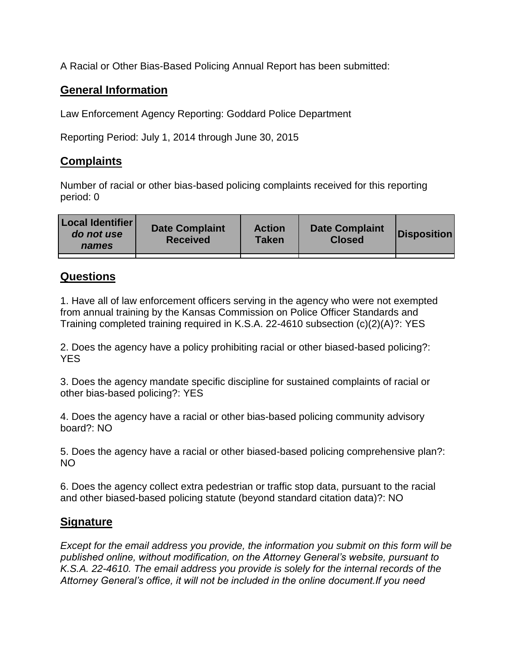A Racial or Other Bias-Based Policing Annual Report has been submitted:

## **General Information**

Law Enforcement Agency Reporting: Goddard Police Department

Reporting Period: July 1, 2014 through June 30, 2015

## **Complaints**

Number of racial or other bias-based policing complaints received for this reporting period: 0

| <b>Local Identifier</b><br>do not use<br>names | <b>Date Complaint</b><br><b>Received</b> | <b>Action</b><br><b>Taken</b> | <b>Date Complaint</b><br><b>Closed</b> | Disposition |
|------------------------------------------------|------------------------------------------|-------------------------------|----------------------------------------|-------------|
|                                                |                                          |                               |                                        |             |

## **Questions**

1. Have all of law enforcement officers serving in the agency who were not exempted from annual training by the Kansas Commission on Police Officer Standards and Training completed training required in K.S.A. 22-4610 subsection (c)(2)(A)?: YES

2. Does the agency have a policy prohibiting racial or other biased-based policing?: YES

3. Does the agency mandate specific discipline for sustained complaints of racial or other bias-based policing?: YES

4. Does the agency have a racial or other bias-based policing community advisory board?: NO

5. Does the agency have a racial or other biased-based policing comprehensive plan?: NO

6. Does the agency collect extra pedestrian or traffic stop data, pursuant to the racial and other biased-based policing statute (beyond standard citation data)?: NO

## **Signature**

*Except for the email address you provide, the information you submit on this form will be published online, without modification, on the Attorney General's website, pursuant to K.S.A. 22-4610. The email address you provide is solely for the internal records of the Attorney General's office, it will not be included in the online document.If you need*